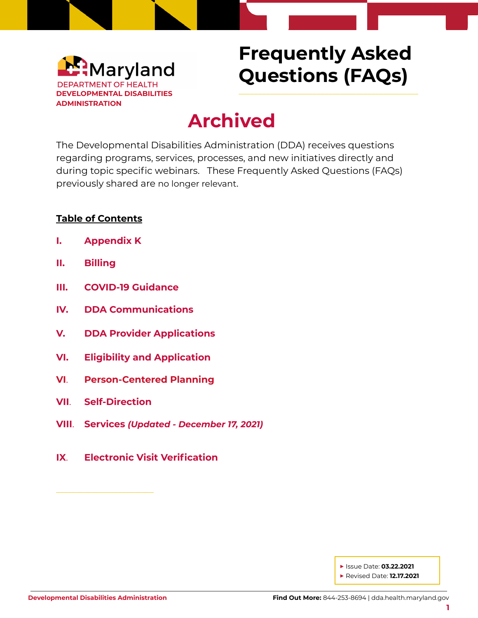

# **Frequently Asked Questions (FAQs)**

\_\_\_\_\_\_\_\_\_\_\_\_\_\_\_\_\_\_\_\_\_\_\_\_\_\_\_\_\_\_\_\_\_\_\_\_\_\_\_\_\_\_\_\_\_\_

# **Archived**

The Developmental Disabilities Administration (DDA) receives questions regarding programs, services, processes, and new initiatives directly and during topic specific webinars. These Frequently Asked Questions (FAQs) previously shared are no longer relevant.

#### **Table of Contents**

- **I. [Appendix](#page-1-0) K**
- **II. [Billing](#page-1-1)**
- **III. COVID-19 [Guidance](#page-1-2)**
- **IV. DDA [Communications](#page-2-0)**
- **V. DDA Provider [Applications](#page-2-1)**
- **VI. Eligibility and [Application](#page-2-2)**
- **VI**. **[Person-Centered](#page-2-3) Planning**
- **VII**. **[Self-Direction](#page-3-0)**

\_\_\_\_\_\_\_\_\_\_\_\_\_\_\_\_\_\_\_\_\_\_\_\_\_

- **VIII**. **[Services](#page-3-1)** *(Updated - December 17, 2021)*
- **IX**. **Electronic Visit [Verification](#page-4-0)**

**▶** Issue Date: **03.22.2021 ▶** Revised Date: **12.17.2021**

**1**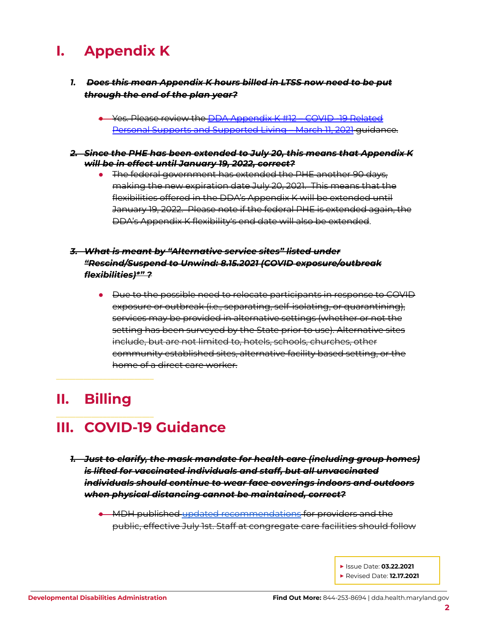### <span id="page-1-0"></span>**I. Appendix K**

- *1. Does this mean Appendix K hours billed in LTSS now need to be put through the end of the plan year?*
	- Yes. Please review the DDA [Appendix](https://files.constantcontact.com/f401fd14401/12c80d69-dbb4-414c-83fd-6b77bf2cef7a.pdf) K #12 COVID -19 Related Personal Supports and [Supported](https://files.constantcontact.com/f401fd14401/12c80d69-dbb4-414c-83fd-6b77bf2cef7a.pdf) Living – March 11, 2021 guidance.
- *2. Since the PHE has been extended to July 20, this means that Appendix K will be in effect until January 19, 2022, correct?*
	- The federal government has extended the PHE another 90 days, making the new expiration date July 20, 2021. This means that the flexibilities offered in the DDA's Appendix K will be extended until January 19, 2022. Please note if the federal PHE is extended again, the DDA's Appendix K flexibility's end date will also be extended.

#### *3. What is meant by "Alternative service sites" listed under "Rescind/Suspend to Unwind: 8.15.2021 (COVID exposure/outbreak flexibilities)\*" ?*

● Due to the possible need to relocate participants in response to COVID exposure or outbreak (i.e., separating, self-isolating, or quarantining), services may be provided in alternative settings (whether or not the setting has been surveyed by the State prior to use). Alternative sites include, but are not limited to, hotels, schools, churches, other community established sites, alternative facility based setting, or the home of a direct care worker.

## <span id="page-1-1"></span>**II. Billing**

\_\_\_\_\_\_\_\_\_\_\_\_\_\_\_\_\_\_\_\_\_\_\_\_\_

\_\_\_\_\_\_\_\_\_\_\_\_\_\_\_\_\_\_\_\_\_\_\_\_\_

## <span id="page-1-2"></span>**III. COVID-19 Guidance**

- *1. Just to clarify, the mask mandate for health care (including group homes) is lifted for vaccinated individuals and staff, but all unvaccinated individuals should continue to wear face coverings indoors and outdoors when physical distancing cannot be maintained, correct?*
	- MDH published updated [recommendations](https://health.maryland.gov/dda/Documents/COVID%2019%20Documents/Memos%20Guidance/7.20.21/MDH%20-%20Notice%20-%20Face%20Covering%20Recommendations%20-%20July%201%2c%202021.pdf) for providers and the public, effective July 1st. Staff at congregate care facilities should follow

**▶** Issue Date: **03.22.2021 ▶** Revised Date: **12.17.2021**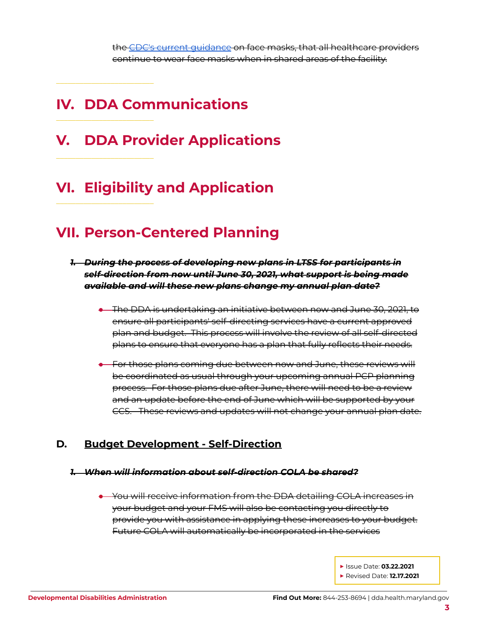the CDC's current [guidance](https://www.cdc.gov/coronavirus/2019-ncov/community/shared-congregate-house/guidance-shared-congregate-housing.html) on face masks, that all healthcare providers continue to wear face masks when in shared areas of the facility.

### <span id="page-2-0"></span>**IV. DDA Communications**

\_\_\_\_\_\_\_\_\_\_\_\_\_\_\_\_\_\_\_\_\_\_\_\_\_

\_\_\_\_\_\_\_\_\_\_\_\_\_\_\_\_\_\_\_\_\_\_\_\_\_

\_\_\_\_\_\_\_\_\_\_\_\_\_\_\_\_\_\_\_\_\_\_\_\_\_

\_\_\_\_\_\_\_\_\_\_\_\_\_\_\_\_\_\_\_\_\_\_\_\_\_

<span id="page-2-1"></span>**V. DDA Provider Applications**

# <span id="page-2-2"></span>**VI. Eligibility and Application**

### <span id="page-2-3"></span>**VII. Person-Centered Planning**

- *1. During the process of developing new plans in LTSS for participants in self-direction from now until June 30, 2021, what support is being made available and will these new plans change my annual plan date?*
	- The DDA is undertaking an initiative between now and June 30, 2021, to ensure all participants' self-directing services have a current approved plan and budget. This process will involve the review of all self-directed plans to ensure that everyone has a plan that fully reflects their needs.
	- For those plans coming due between now and June, these reviews will be coordinated as usual through your upcoming annual PCP planning process. For those plans due after June, there will need to be a review and an update before the end of June which will be supported by your CCS. These reviews and updates will not change your annual plan date.

### **D. Budget Development - Self-Direction**

#### *1. When will information about self-direction COLA be shared?*

● You will receive information from the DDA detailing COLA increases in your budget and your FMS will also be contacting you directly to provide you with assistance in applying these increases to your budget. Future COLA will automatically be incorporated in the services

> **▶** Issue Date: **03.22.2021 ▶** Revised Date: **12.17.2021**

> > **3**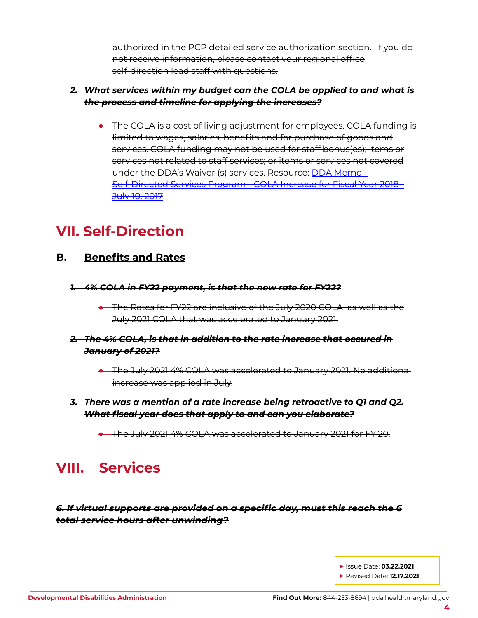authorized in the PCP detailed service authorization section. If you do not receive information, please contact your regional office self-direction lead staff with questions.

#### *2. What services within my budget can the COLA be applied to and what is the process and timeline for applying the increases?*

● The COLA is a cost of living adjustment for employees. COLA funding is limited to wages, salaries, benefits and for purchase of goods and services. COLA funding may not be used for staff bonus(es); items or services not related to staff services; or items or services not covered under the DDA's Waiver (s) services. Resource: DDA [Memo](https://dda.health.maryland.gov/Documents/Self-Directed%20Services%20Guidance,%20Forms,%20and,%20Webinars/3.1.21/SDS%20COLA%20letter_BSimons_7.10.17.pdf) - [Self-Directed](https://dda.health.maryland.gov/Documents/Self-Directed%20Services%20Guidance,%20Forms,%20and,%20Webinars/3.1.21/SDS%20COLA%20letter_BSimons_7.10.17.pdf) Services Program - COLA Increase for Fiscal Year 2018 - July 10, [2017](https://dda.health.maryland.gov/Documents/Self-Directed%20Services%20Guidance,%20Forms,%20and,%20Webinars/3.1.21/SDS%20COLA%20letter_BSimons_7.10.17.pdf)

### <span id="page-3-0"></span>**VII. Self-Direction**

\_\_\_\_\_\_\_\_\_\_\_\_\_\_\_\_\_\_\_\_\_\_\_\_\_

### **B. Benefits and Rates**

- *1. 4% COLA in FY22 payment, is that the new rate for FY22?*
	- The Rates for FY22 are inclusive of the July 2020 COLA, as well as the July 2021 COLA that was accelerated to January 2021.
- *2. The 4% COLA, is that in addition to the rate increase that occured in January of 2021?*
	- The July 2021 4% COLA was accelerated to January 2021. No additional increase was applied in July.
- *3. There was a mention of a rate increase being retroactive to Q1 and Q2. What fiscal year does that apply to and can you elaborate?*
	- The July 2021 4% COLA was accelerated to January 2021 for FY'20.

### <span id="page-3-1"></span>**VIII. Services**

\_\_\_\_\_\_\_\_\_\_\_\_\_\_\_\_\_\_\_\_\_\_\_\_\_

*6. If virtual supports are provided on a specific day, must this reach the 6 total service hours after unwinding?*

> **▶** Issue Date: **03.22.2021 ▶** Revised Date: **12.17.2021**